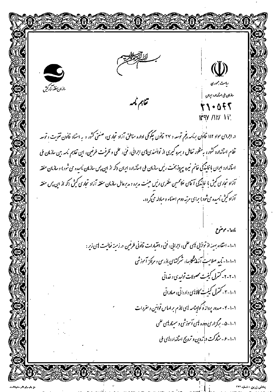

تقابم نكمه

رہست جمہوری سازمان ملى اسآندارد ايران 770.17

Nº9Y AYZ AY

در اجرای مواد ۱۱۲ قانون برنامه پنجم توسعه د ۲۷ قانون تیکوکلی اداره مناطق آزاد تجاری، صنعتی کثور و به استاد قانون تعویت و توسعه تظام اسآندارد کشور، به<sup>ن</sup>شور تعا<del>ل</del> و بسره کیری از توانمندی **ب**ی اجرانی، فنی، علمی و ظرفیت طرفین، این تغابم نامه بین سازمان ملی اساندارد ایران با نمایندگی خانم نیره پیروز بخت رئیں سازمان ملی اساندارد ایران (که از این پس سازمان ناسده می شود) و سازمان منقته آزاد تجاری کیش با نمایندی آ قای غلاممین مفتری رئیں میئت بدیرہ و مدیرعامل سازمان منعتہ آزاد تجاری کیش (کہ از این پس منفته .<br>آزاد کی<sup>ش</sup> بامیده می شود ) برای مرتبه دوم اسنا، و مبادله می کردد .

> بادما - مومتوح ۱-۱- استاده بهیهٔ از توانایی <sup>ب</sup>ای علمی، اجرایی، فنی و اصّیارات قانونی طرفین در زمیهٔ فعالیت ای زیر : ۱-۱-۱ - آیید صلاحی<sup>ت</sup> از ایشکاهها، شرکتهای بازرسی و مراکز آموزشی ۱-۲-۲ - کترل کینیت محصولات تولیدی و غدماتی ۱-۱-۲- کتترل کینیه کے کالایمی وار داتی، صادراتی ۱-۱-۲- صدور پروانه کولاینامه <sup>ی</sup>دی لازم بر ا*ساس ق*وانین و متررات ۱-۱-۵- برگزاری دوره لمی آموزشی و سینار ای علمی ۱-۱-۶ - شادکت د بهتروین و ترویج اسآندار دلی ملی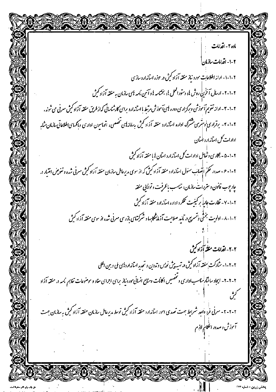AXXX ماده ۲- اقدامات ۶-۱- اقدامات سازمان ۶-۱-۱- ارانه اطلاعات مورد نیاز منصر آزاد کیش در حوزه اسآندار دسازی ۲-۱-۲ - ارسال آخریں روش یی دستورالعل یی بخشامہ ! و آئین نامہ ای سازمان به منقہ آ زاد کمیش ۲-۱-۶- ارائه تقویم آموزشی وبرکز اری دوره <sup>ب</sup>ای آموزش مرتبط با اسآندار د برای کارشندانی که از طریق منق**ته آزاد ک**یش معرفی می شوند . ۶-۱-۶- برقراری'دمشرسی مشرک اداره اسآندارد منعته آزاد کمی<sup>ش</sup> بسامانهای تنصصی، اتوماسیون اداری وبانکهای الخلاعاتی سازمان مشابه ادارات کل اسآندار د اسآن ۶-۱-۵- پھاری و تعامل ادارات کل اساندار د اسان کی استقہ آزاد کمی<sup>ش</sup> ۶-۱-۲ - صدور تحکم انتصاب سنول اسآندار د منعته آزاد کیش که از سوی مدیرعامل سازمان منعته آزاد کیش سرفی شده و تعویض اختیار در جارجوب قانون ومتمررات سازمان، تناسب بالحرفيت وتوامايي منفته ۲-۷-۱- تعارت عالیا بر کینیت عمکرد اداره اسآندارد منصر آزاد کیش ۲ -۱-۸ - اولویت بخشی وأنسریع در تئید مسلاحیت آزمایشخابها و شرکتهای بازرسی معرفی شده از سوی منقد آزاد کیش ۲-۲- اقدامات متغیر تازاد کیش ۶ -۲ -۱- شارکت سنته آزاد کیش د. تهیه پیش نویس و تدوین و تحدید اسآندار دلای ملی و بین الللی ۶-۲-۲- ایجاد ساختار مناسب اداری و تخصیص اکلایت دمنایع انسانی مورد نیاز برای اجرای مغاد و مومنوعات تغاہم لمامه در منصر آزاد ۶-۲-۲- سرفی فرد واجد شرایط جهت تصدی امور اسآندارد منفته آزاد کمی<sup>ش</sup> توسط مدیرعا<del>ی</del>ل سازمان منفته آزاد کمی<sup>ش</sup> به سازمان جهت ۔ آموزش و صدور ا**حکام** لازم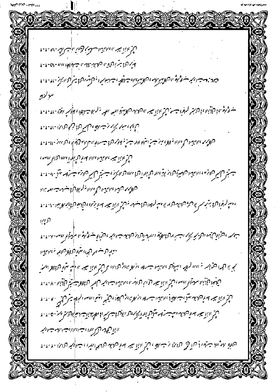ل من الأمير به برابر السابق به من المحركة برابر - ابو - ابر - ابر - ابر - ابر - ابر - ابر - ابر - ابر - ابر -ىيىم لى چىنىپ بىل كەن بىلەن ئەس بىلىغان ئەسەبەر 1-1-1-1 **مى ويىست البرسبوج بىي بىن الأمنين الموءن الأمنيني المت المائي مت المنابع الموافق المراسم الأسابع - الأساب** - ال سولزه سفتاقو بما (نان) ما داد بسر گسرفوا حسسنه (میتر این میتر به این این این به موجود شرکتها حسابه واین میتر است است ن پی ، سبز برابر ترت مهی ، مسلم هر 3 فرحم 3 دابرا - ۱۱-۱۰-ن اوپسر بر براندیسا که ۱۹۱۰ تا او دستر زمین است به این ساختها مرد و میکند از این است است است است است است است ا ل من البالية بهم البول المحالا المحتمد المحركة من المحالم المجمعة ، تبر اسم صارحها بالاسلام المصاحبة والرئائي بهاد ومحباط والمعادي الباطر بالمستبر المستخرج المسارس المسارسة المسارسة ن المحجمة من المساحد المساكل المعادم والمعاصر المساحد المساحد المساحد المساحد المساحد المساحد المساحد ، مەيەلىرىغوا 52 يىلىپ ئان مۇن 151 كى 3 ما مەيدلىراندا 52 يىلىپ بىر ئىس كى ئاندىق ئىدىن كى ئاندىق ئۇنى بىلى ئا<br>ئ هببا ت مسلحة وحاليكما والمتسابع المراسك والمستكسمة لادفعالي وروبالها والمساوية والمسابع المسابق والمستقرح والمستقرح المسامر والمسامر والمسابق والمسابق والمسامر والمسابق والمسابق والمسابق والمسابق والمسابق والمسابق والمسابق والم بهجيراته متسمراتها بهتميا كرافواتها بمرشمان ويسا مجوجو المحمدا المتوجب منعققة كساجير والمبينيات المساسراه للزمانة والمحالفة المرهيم الجالية سيبرسما وكبواه والمجاهر المحتفيه ت نوادا وکان ماسه معلوم ، مسره المحمر الأالاسيم الأميم الأمامة المعداد المحمد المسلم المعراة الأسلام المسلم - ما - ما رميش اباله سيبسر صرمي مالهان ستونات مالاقوا بالمازق التقسم الاستعمام والمتعمر والمناسب والمساهر والمساسر المساسد والمساسد ىپتىر ئائالەسىيە تەسۇن دىن ھەيىسىسىق يىستىرىشى ئىمرا ئارىمادىن ئابودۇن ئىگە ئاھەتلەن ئىلاپىي ئىلاپ ئاسلا-1-1 عائمأ فتكان ولي كما وت المادات المات المائة ن المقل مامة عاد ت توليد أن المحر الأرابر بالسلامي المحر المالا تعينه الحديم المعالم المعدم المسالم مس الأراب و-2-1-1